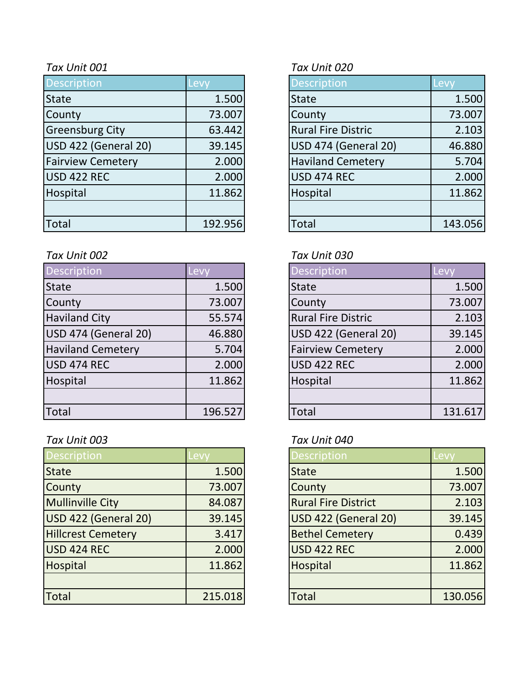| <b>Description</b>       | Levy    | <b>Description</b>        | Levy    |
|--------------------------|---------|---------------------------|---------|
| <b>State</b>             | 1.500   | <b>State</b>              | 1.500   |
| County                   | 73.007  | County                    | 73.007  |
| <b>Greensburg City</b>   | 63.442  | <b>Rural Fire Distric</b> | 2.103   |
| USD 422 (General 20)     | 39.145  | USD 474 (General 20)      | 46.880  |
| <b>Fairview Cemetery</b> | 2.000   | <b>Haviland Cemetery</b>  | 5.704   |
| USD 422 REC              | 2.000   | USD 474 REC               | 2.000   |
| Hospital                 | 11.862  | Hospital                  | 11.862  |
|                          |         |                           |         |
| Total                    | 192.956 | <b>Total</b>              | 143.056 |

### *Tax Unit 002 Tax Unit 030*

| Description              | Levy    | <b>Description</b>          | Levy    |
|--------------------------|---------|-----------------------------|---------|
| <b>State</b>             | 1.500   | <b>State</b>                | 1.500   |
| County                   | 73.007  | County                      | 73.007  |
| <b>Haviland City</b>     | 55.574  | <b>Rural Fire Distric</b>   | 2.103   |
| USD 474 (General 20)     | 46.880  | <b>USD 422 (General 20)</b> | 39.145  |
| <b>Haviland Cemetery</b> | 5.704   | <b>Fairview Cemetery</b>    | 2.000   |
| USD 474 REC              | 2.000   | <b>USD 422 REC</b>          | 2.000   |
| Hospital                 | 11.862  | Hospital                    | 11.862  |
|                          |         |                             |         |
| <b>Total</b>             | 196.527 | Total                       | 131.617 |

# *Tax Unit 003 Tax Unit 040*

| <b>Description</b>        | Levy    | <b>Description</b>         | <b>Levy</b> |
|---------------------------|---------|----------------------------|-------------|
| <b>State</b>              | 1.500   | <b>State</b>               | 1.500       |
| County                    | 73.007  | County                     | 73.007      |
| <b>Mullinville City</b>   | 84.087  | <b>Rural Fire District</b> | 2.103       |
| USD 422 (General 20)      | 39.145  | USD 422 (General 20)       | 39.145      |
| <b>Hillcrest Cemetery</b> | 3.417   | <b>Bethel Cemetery</b>     | 0.439       |
| USD 424 REC               | 2.000   | <b>USD 422 REC</b>         | 2.000       |
| Hospital                  | 11.862  | Hospital                   | 11.862      |
|                           |         |                            |             |
| Total                     | 215.018 | <b>Total</b>               | 130.056     |

# *Tax Unit 001 Tax Unit 020*

| Description                 | Levy    |
|-----------------------------|---------|
| <b>State</b>                | 1.500   |
| County                      | 73.007  |
| <b>Rural Fire Distric</b>   | 2.103   |
| <b>USD 474 (General 20)</b> | 46.880  |
| <b>Haviland Cemetery</b>    | 5.704   |
| <b>USD 474 REC</b>          | 2.000   |
| Hospital                    | 11.862  |
|                             |         |
| Total                       | 143.056 |

| <b>Description</b>        | Lev     |
|---------------------------|---------|
| <b>State</b>              | 1.500   |
| County                    | 73.007  |
| <b>Rural Fire Distric</b> | 2.103   |
| USD 422 (General 20)      | 39.145  |
| <b>Fairview Cemetery</b>  | 2.000   |
| USD 422 REC               | 2.000   |
| Hospital                  | 11.862  |
|                           |         |
| Total                     | 131.617 |

| <b>Description</b>         | Levv    |
|----------------------------|---------|
| <b>State</b>               | 1.500   |
| County                     | 73.007  |
| <b>Rural Fire District</b> | 2.103   |
| USD 422 (General 20)       | 39.145  |
| <b>Bethel Cemetery</b>     | 0.439   |
| <b>USD 422 REC</b>         | 2.000   |
| <b>Hospital</b>            | 11.862  |
|                            |         |
| Total                      | 130.056 |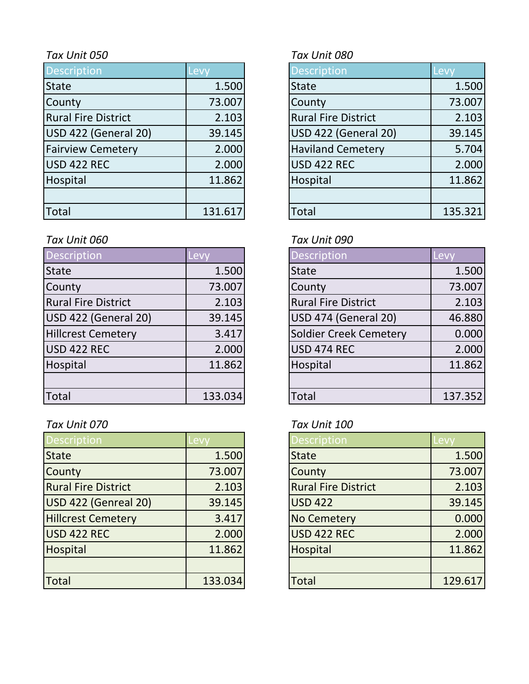| Description                | Levy    |              | <b>Description</b>         | Levy    |
|----------------------------|---------|--------------|----------------------------|---------|
| <b>State</b>               | 1.500   | <b>State</b> |                            | 1.500   |
| County                     | 73.007  | County       |                            | 73.007  |
| <b>Rural Fire District</b> | 2.103   |              | <b>Rural Fire District</b> | 2.103   |
| USD 422 (General 20)       | 39.145  |              | USD 422 (General 20)       | 39.145  |
| <b>Fairview Cemetery</b>   | 2.000   |              | <b>Haviland Cemetery</b>   | 5.704   |
| USD 422 REC                | 2.000   |              | <b>USD 422 REC</b>         | 2.000   |
| Hospital                   | 11.862  |              | Hospital                   | 11.862  |
|                            |         |              |                            |         |
| Total                      | 131.617 | <b>Total</b> |                            | 135.321 |

# *Tax Unit 060 Tax Unit 090*

| Description                | Levy    | <b>Description</b>         | Levy    |
|----------------------------|---------|----------------------------|---------|
| <b>State</b>               | 1.500   | <b>State</b>               | 1.500   |
| County                     | 73.007  | County                     | 73.007  |
| <b>Rural Fire District</b> | 2.103   | <b>Rural Fire District</b> | 2.103   |
| USD 422 (General 20)       | 39.145  | USD 474 (General 20)       | 46.880  |
| <b>Hillcrest Cemetery</b>  | 3.417   | Soldier Creek Cemetery     | 0.000   |
| USD 422 REC                | 2.000   | <b>USD 474 REC</b>         | 2.000   |
| Hospital                   | 11.862  | Hospital                   | 11.862  |
|                            |         |                            |         |
| <b>Total</b>               | 133.034 | Total                      | 137.352 |

# *Tax Unit 070 Tax Unit 100*

| <b>Description</b>         | Levy    | <b>Description</b>         | Levy    |
|----------------------------|---------|----------------------------|---------|
| <b>State</b>               | 1.500   | <b>State</b>               | 1.500   |
| County                     | 73.007  | County                     | 73.007  |
| <b>Rural Fire District</b> | 2.103   | <b>Rural Fire District</b> | 2.103   |
| USD 422 (Genreal 20)       | 39.145  | <b>USD 422</b>             | 39.145  |
| <b>Hillcrest Cemetery</b>  | 3.417   | <b>No Cemetery</b>         | 0.000   |
| USD 422 REC                | 2.000   | <b>USD 422 REC</b>         | 2.000   |
| Hospital                   | 11.862  | Hospital                   | 11.862  |
|                            |         |                            |         |
| Total                      | 133.034 | <b>Total</b>               | 129.617 |

# *Tax Unit 050 Tax Unit 080*

| <b>Description</b>          | Levy    |
|-----------------------------|---------|
| <b>State</b>                | 1.500   |
| County                      | 73.007  |
| <b>Rural Fire District</b>  | 2.103   |
| <b>USD 422 (General 20)</b> | 39.145  |
| <b>Haviland Cemetery</b>    | 5.704   |
| <b>USD 422 REC</b>          | 2.000   |
| Hospital                    | 11.862  |
|                             |         |
| otal.                       | 135.321 |

| Description                   | Levy    |
|-------------------------------|---------|
| <b>State</b>                  | 1.500   |
| County                        | 73.007  |
| <b>Rural Fire District</b>    | 2.103   |
| USD 474 (General 20)          | 46.880  |
| <b>Soldier Creek Cemetery</b> | 0.000   |
| <b>USD 474 REC</b>            | 2.000   |
| Hospital                      | 11.862  |
|                               |         |
| Total                         | 137.352 |

| Description                | Levv    |
|----------------------------|---------|
| <b>State</b>               | 1.500   |
| County                     | 73.007  |
| <b>Rural Fire District</b> | 2.103   |
| <b>USD 422</b>             | 39.145  |
| <b>No Cemetery</b>         | 0.000   |
| <b>USD 422 REC</b>         | 2.000   |
| Hospital                   | 11.862  |
|                            |         |
| <b>Total</b>               | 129.617 |